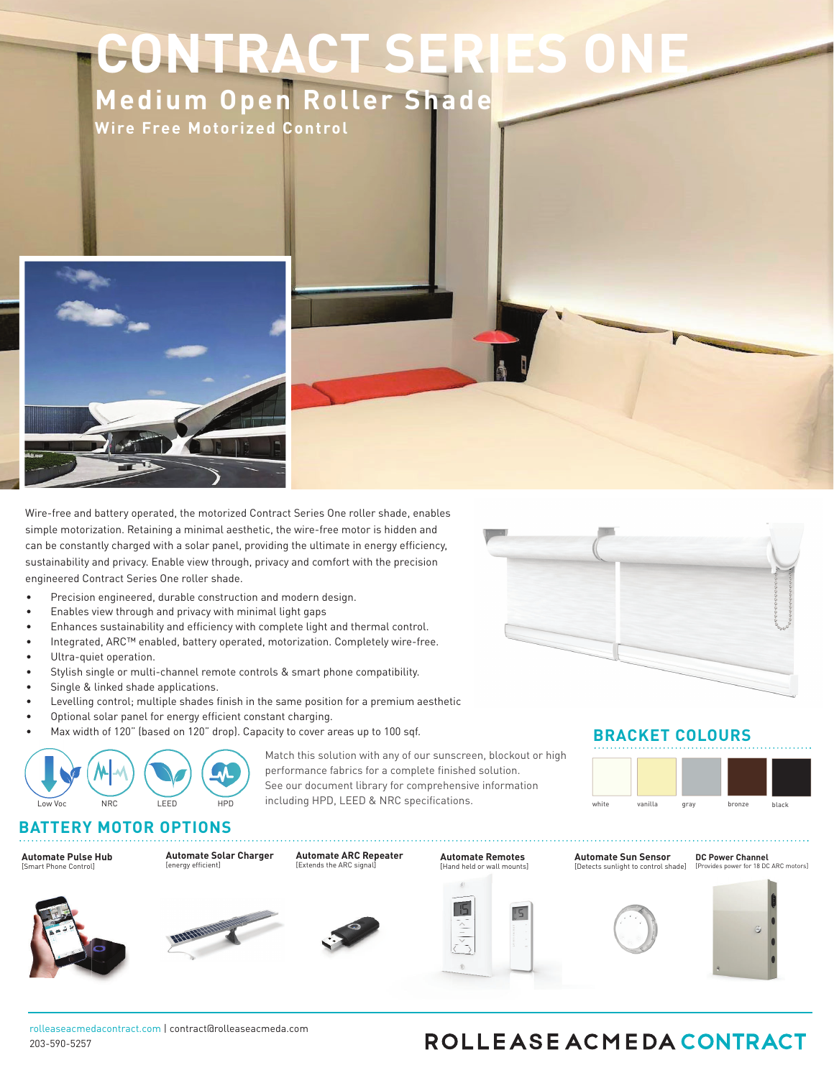# **CONTRACT SERIES Medium Open Roller Shade**

7 P M U - P X **A P M B B H P O** . P U P S J [ F E \$ P O U S P M



5IFQSFDQTQPOBOHJOFFSFE48PMMFBTF0DNFEBQPOUSBDD\FEQVNQQFO3PMMTQTUFNQTBEVSBCMFBOESPCVTUDPNCJOBUJPOPGGPSNBOEGVODUJPODOBTMFFLQI NOSOBEPGOPXESOOHPOUQDOTPVSDPNNFSDOBMEVOODPOUSBDU0FSOFTOOFTOTUFNTVOOPSUTMPXWPMUBHFOPXFSOOHDIBPVHIDVTUPNOPXFSOBOFMTOMVHOOUS 0PXESEEM/BSSBDWPSPVSHBNED\BOHDOHSED\BSHEBCMEEDOPODOVESOBMCBUVESWOUTDKNBOU\BNBYXOEV\BGCBWEEEPOBESPDVODPWRGCEGPSEMOOLOOHPOVOPO\ 0EBDVS0OHNOONBMMOHWABDTDDTTOSPOFSMOCBMBODFEOSFDOTOPOTOTOFNXOMMMBTOBMOGFDONFXOOGBEEVDFTFSWODFDBMMTOTTVFTOOHOOGODBOUMOCF TOTOFNTSFRVOSEOSEDOTOPOEOHOOFFSFEŒPBWOEVOOCBSEXBSFDCBODBOTVOOPSONVMONNATTPGNOTPXOXFNATON

'FBUVSFT

- 800 BNB NAOE U IBG C B THE POBESPOND U PTRGC FGPS FM DO LOOH C PUUROTU
- -JOLJOHPQUJPOTGPSTJOHMFBOEEVBMTIBEFDPOGJHVSBUJPOT
- 0VUPNBUENPUPS0MUSBRV0EUP0ESBU0POX0U030C0E0SEDU0POBMDPNN
- 0000POBMTPMBS0BOFMGPSFOW0SPONFOUBMM0GPSXBSEFOFSH0FGG0DI **DIBSHIOHD**
- 0DDF0UTTUBOEBSEPSSFWFSTFSPMMDPOG0HVSBU0POTGPSWFSTBU0MFB JOTUBMMBUJPO
- OFXMOEETOOROFE)FBWOOXVOORMESBTTFNCMODPOWRTDRGS WETTGOMMEE OOMPOUPEMONDOBUFOPDTFBOESFTOTUXFBSB**DMOGBBGGBSHIN**BEOOHTOTUF
- USUWFOCOPVSOVUPNBUFEPX7PMUBHFMOOFPGNPUPSTGSPNOWPOGPGG MBSHFBQQMJDBUJPOT





Match this solution with any of our sunscreen, blockout or high performance fabrics for a complete finished solution. See our document library for comprehensive information including HPD, LEED & NRC specifications.

**BRACKET COLORS**



## **MOTOR OPTIONS**

**DC Power Channel** [Provides power for 18 DC ARC motors] **Automate**8BMM4XJUDIFT [Hand hel Hand held or wall mount d mounts]

**Automate Solar Charger** [energy efficient]

**Automate ARC Repeater** [Extends the ARC signal]

**A3\$ 3FMBZ.PEVMF** Automate Pulse Hub [4NBSU4ZTUEN\*OUFSGBDF

[Smart Phone Control]





rolleaseacmedacontract.com | contract@rolleaseacmeda.com 203-590-5257

## ROLLEASE ACMEDA CONTRACT